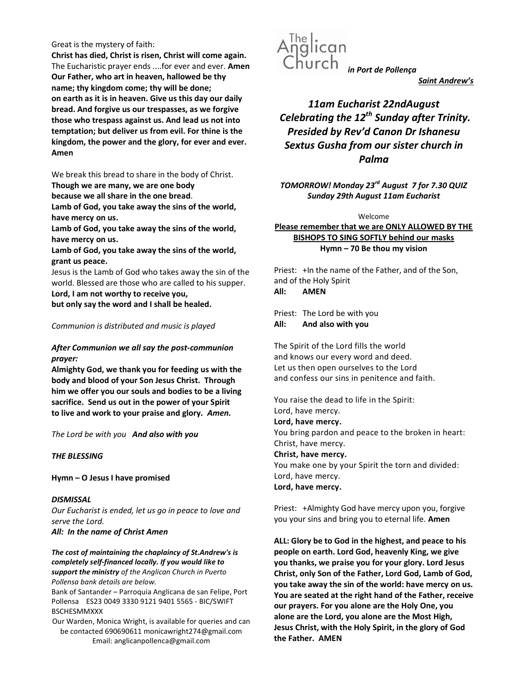### Great is the mystery of faith:

Christ has died, Christ is risen, Christ will come again. The Eucharistic prayer ends ....for ever and ever. Amen Our Father, who art in heaven, hallowed be thy name; thy kingdom come; thy will be done; on earth as it is in heaven. Give us this day our daily bread. And forgive us our trespasses, as we forgive those who trespass against us. And lead us not into temptation; but deliver us from evil. For thine is the kingdom, the power and the glory, for ever and ever. Amen

We break this bread to share in the body of Christ.

Though we are many, we are one body

because we all share in the one bread.

Lamb of God, you take away the sins of the world, have mercy on us.

Lamb of God, you take away the sins of the world, have mercy on us.

Lamb of God, you take away the sins of the world, grant us peace.

Jesus is the Lamb of God who takes away the sin of the world. Blessed are those who are called to his supper. Lord, I am not worthy to receive you,

but only say the word and I shall be healed.

## Communion is distributed and music is played

## After Communion we all say the post-communion prayer:

Almighty God, we thank you for feeding us with the body and blood of your Son Jesus Christ. Through him we offer you our souls and bodies to be a living sacrifice. Send us out in the power of your Spirit to live and work to your praise and glory. Amen.

The Lord be with you And also with you

## THE BLESSING

Hymn – O Jesus I have promised

**DISMISSAL** Our Eucharist is ended, let us go in peace to love and serve the Lord.

All: In the name of Christ Amen

The cost of maintaining the chaplaincy of St.Andrew's is completely self-financed locally. If you would like to support the ministry of the Anglican Church in Puerto Pollensa bank details are below.

Bank of Santander – Parroquia Anglicana de san Felipe, Port Pollensa ES23 0049 3330 9121 9401 5565 - BIC/SWIFT BSCHESMMXXX

Our Warden, Monica Wright, is available for queries and can be contacted 690690611 monicawright274@gmail.com Email: anglicanpollenca@gmail.com



Saint Andrew's

11am Eucharist 22ndAugust Celebrating the  $12^{th}$  Sunday after Trinity. Presided by Rev'd Canon Dr Ishanesu Sextus Gusha from our sister church in Palma

TOMORROW! Monday 23<sup>rd</sup> August 7 for 7.30 QUIZ Sunday 29th August 11am Eucharist

#### Welcome

Please remember that we are ONLY ALLOWED BY THE BISHOPS TO SING SOFTLY behind our masks Hymn – 70 Be thou my vision

Priest: +In the name of the Father, and of the Son, and of the Holy Spirit All: AMEN

Priest: The Lord be with you All: And also with you

The Spirit of the Lord fills the world and knows our every word and deed. Let us then open ourselves to the Lord and confess our sins in penitence and faith.

You raise the dead to life in the Spirit: Lord, have mercy. Lord, have mercy. You bring pardon and peace to the broken in heart: Christ, have mercy. Christ, have mercy. You make one by your Spirit the torn and divided: Lord, have mercy. Lord, have mercy.

Priest: +Almighty God have mercy upon you, forgive you your sins and bring you to eternal life. Amen

ALL: Glory be to God in the highest, and peace to his people on earth. Lord God, heavenly King, we give you thanks, we praise you for your glory. Lord Jesus Christ, only Son of the Father, Lord God, Lamb of God, you take away the sin of the world: have mercy on us. You are seated at the right hand of the Father, receive our prayers. For you alone are the Holy One, you alone are the Lord, you alone are the Most High, Jesus Christ, with the Holy Spirit, in the glory of God the Father. AMEN